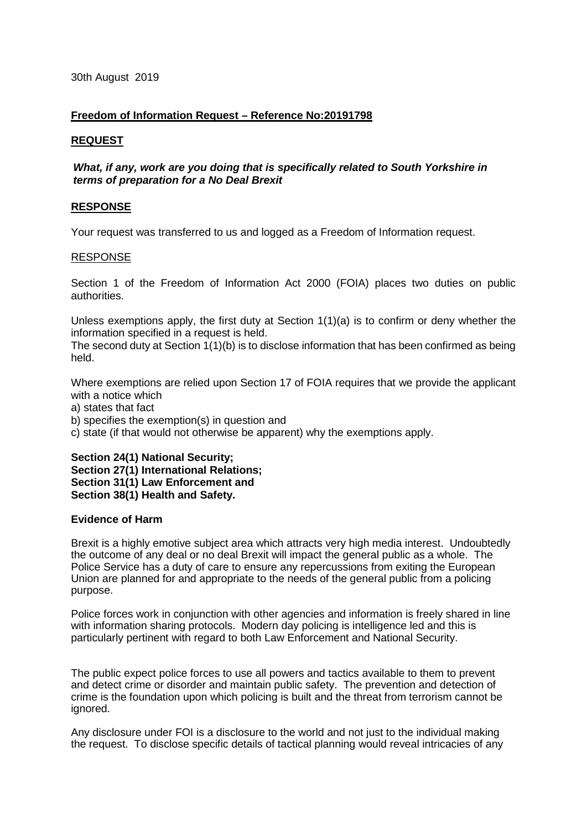# **Freedom of Information Request – Reference No:20191798**

# **REQUEST**

# *What, if any, work are you doing that is specifically related to South Yorkshire in terms of preparation for a No Deal Brexit*

# **RESPONSE**

Your request was transferred to us and logged as a Freedom of Information request.

## RESPONSE

Section 1 of the Freedom of Information Act 2000 (FOIA) places two duties on public authorities.

Unless exemptions apply, the first duty at Section 1(1)(a) is to confirm or deny whether the information specified in a request is held.

The second duty at Section 1(1)(b) is to disclose information that has been confirmed as being held.

Where exemptions are relied upon Section 17 of FOIA requires that we provide the applicant with a notice which

a) states that fact

b) specifies the exemption(s) in question and

c) state (if that would not otherwise be apparent) why the exemptions apply.

# **Section 24(1) National Security;**

**Section 27(1) International Relations; Section 31(1) Law Enforcement and Section 38(1) Health and Safety.**

# **Evidence of Harm**

Brexit is a highly emotive subject area which attracts very high media interest. Undoubtedly the outcome of any deal or no deal Brexit will impact the general public as a whole. The Police Service has a duty of care to ensure any repercussions from exiting the European Union are planned for and appropriate to the needs of the general public from a policing purpose.

Police forces work in conjunction with other agencies and information is freely shared in line with information sharing protocols. Modern day policing is intelligence led and this is particularly pertinent with regard to both Law Enforcement and National Security.

The public expect police forces to use all powers and tactics available to them to prevent and detect crime or disorder and maintain public safety. The prevention and detection of crime is the foundation upon which policing is built and the threat from terrorism cannot be ignored.

Any disclosure under FOI is a disclosure to the world and not just to the individual making the request. To disclose specific details of tactical planning would reveal intricacies of any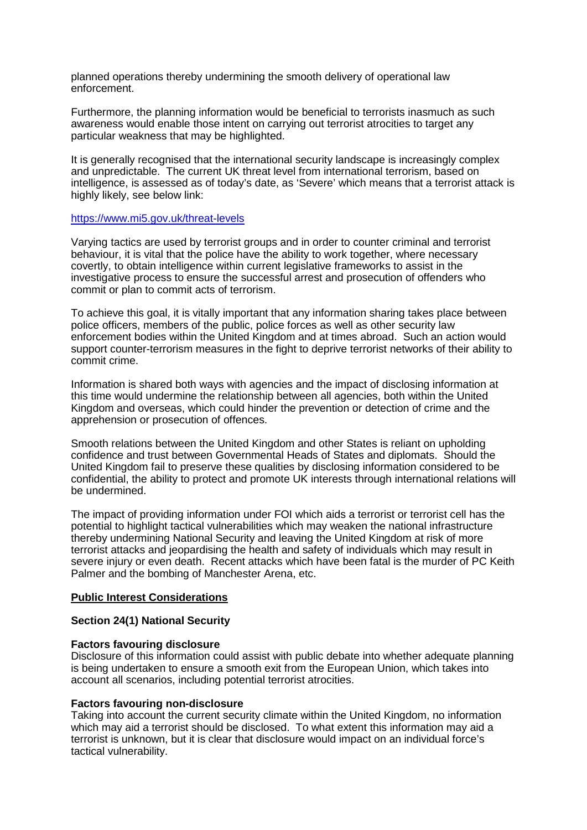planned operations thereby undermining the smooth delivery of operational law enforcement.

Furthermore, the planning information would be beneficial to terrorists inasmuch as such awareness would enable those intent on carrying out terrorist atrocities to target any particular weakness that may be highlighted.

It is generally recognised that the international security landscape is increasingly complex and unpredictable. The current UK threat level from international terrorism, based on intelligence, is assessed as of today's date, as 'Severe' which means that a terrorist attack is highly likely, see below link:

#### <https://www.mi5.gov.uk/threat-levels>

Varying tactics are used by terrorist groups and in order to counter criminal and terrorist behaviour, it is vital that the police have the ability to work together, where necessary covertly, to obtain intelligence within current legislative frameworks to assist in the investigative process to ensure the successful arrest and prosecution of offenders who commit or plan to commit acts of terrorism.

To achieve this goal, it is vitally important that any information sharing takes place between police officers, members of the public, police forces as well as other security law enforcement bodies within the United Kingdom and at times abroad. Such an action would support counter-terrorism measures in the fight to deprive terrorist networks of their ability to commit crime.

Information is shared both ways with agencies and the impact of disclosing information at this time would undermine the relationship between all agencies, both within the United Kingdom and overseas, which could hinder the prevention or detection of crime and the apprehension or prosecution of offences.

Smooth relations between the United Kingdom and other States is reliant on upholding confidence and trust between Governmental Heads of States and diplomats. Should the United Kingdom fail to preserve these qualities by disclosing information considered to be confidential, the ability to protect and promote UK interests through international relations will be undermined.

The impact of providing information under FOI which aids a terrorist or terrorist cell has the potential to highlight tactical vulnerabilities which may weaken the national infrastructure thereby undermining National Security and leaving the United Kingdom at risk of more terrorist attacks and jeopardising the health and safety of individuals which may result in severe injury or even death. Recent attacks which have been fatal is the murder of PC Keith Palmer and the bombing of Manchester Arena, etc.

### **Public Interest Considerations**

### **Section 24(1) National Security**

### **Factors favouring disclosure**

Disclosure of this information could assist with public debate into whether adequate planning is being undertaken to ensure a smooth exit from the European Union, which takes into account all scenarios, including potential terrorist atrocities.

### **Factors favouring non-disclosure**

Taking into account the current security climate within the United Kingdom, no information which may aid a terrorist should be disclosed. To what extent this information may aid a terrorist is unknown, but it is clear that disclosure would impact on an individual force's tactical vulnerability.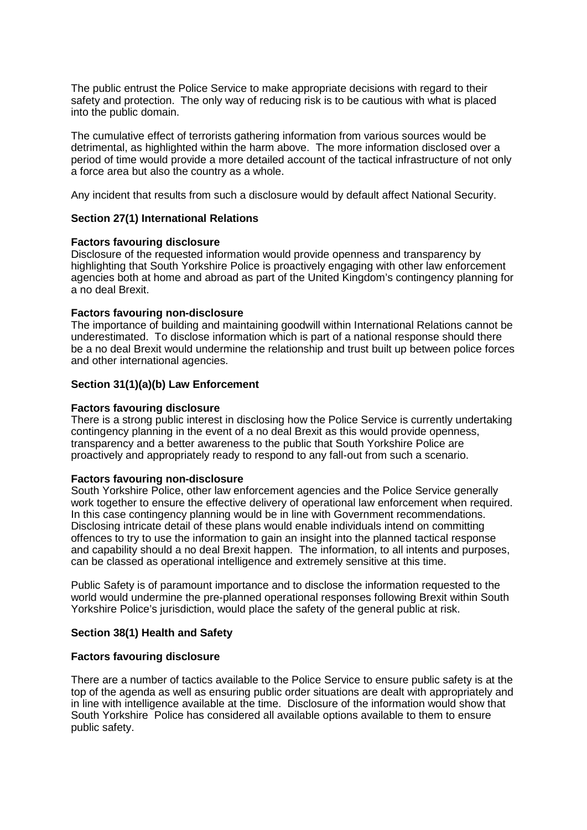The public entrust the Police Service to make appropriate decisions with regard to their safety and protection. The only way of reducing risk is to be cautious with what is placed into the public domain.

The cumulative effect of terrorists gathering information from various sources would be detrimental, as highlighted within the harm above. The more information disclosed over a period of time would provide a more detailed account of the tactical infrastructure of not only a force area but also the country as a whole.

Any incident that results from such a disclosure would by default affect National Security.

### **Section 27(1) International Relations**

### **Factors favouring disclosure**

Disclosure of the requested information would provide openness and transparency by highlighting that South Yorkshire Police is proactively engaging with other law enforcement agencies both at home and abroad as part of the United Kingdom's contingency planning for a no deal Brexit.

#### **Factors favouring non-disclosure**

The importance of building and maintaining goodwill within International Relations cannot be underestimated. To disclose information which is part of a national response should there be a no deal Brexit would undermine the relationship and trust built up between police forces and other international agencies.

#### **Section 31(1)(a)(b) Law Enforcement**

#### **Factors favouring disclosure**

There is a strong public interest in disclosing how the Police Service is currently undertaking contingency planning in the event of a no deal Brexit as this would provide openness, transparency and a better awareness to the public that South Yorkshire Police are proactively and appropriately ready to respond to any fall-out from such a scenario.

#### **Factors favouring non-disclosure**

South Yorkshire Police, other law enforcement agencies and the Police Service generally work together to ensure the effective delivery of operational law enforcement when required. In this case contingency planning would be in line with Government recommendations. Disclosing intricate detail of these plans would enable individuals intend on committing offences to try to use the information to gain an insight into the planned tactical response and capability should a no deal Brexit happen. The information, to all intents and purposes, can be classed as operational intelligence and extremely sensitive at this time.

Public Safety is of paramount importance and to disclose the information requested to the world would undermine the pre-planned operational responses following Brexit within South Yorkshire Police's jurisdiction, would place the safety of the general public at risk.

### **Section 38(1) Health and Safety**

#### **Factors favouring disclosure**

There are a number of tactics available to the Police Service to ensure public safety is at the top of the agenda as well as ensuring public order situations are dealt with appropriately and in line with intelligence available at the time. Disclosure of the information would show that South Yorkshire Police has considered all available options available to them to ensure public safety.